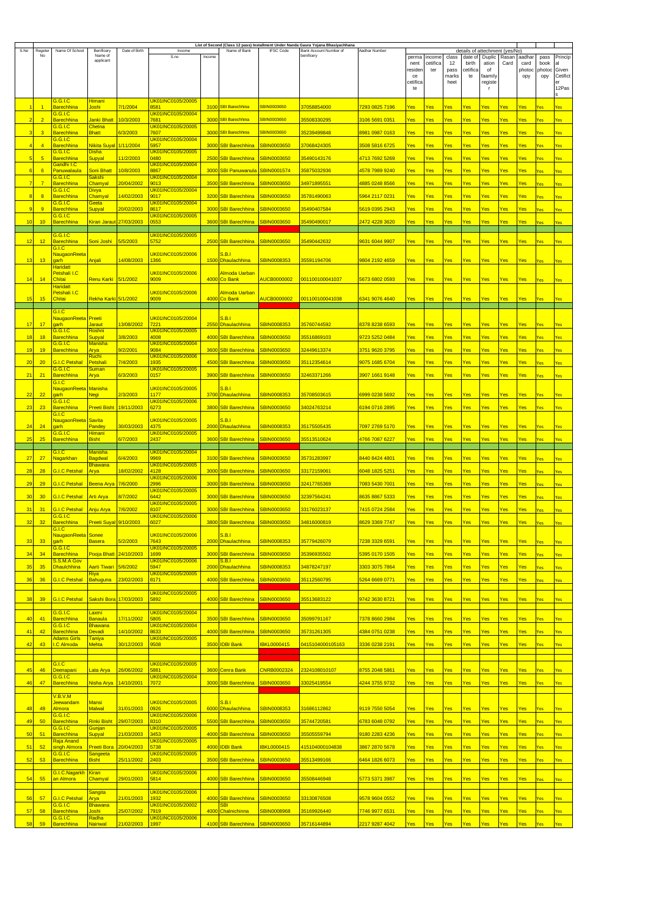| S.No | Regete         | Name Of School                                       | Benificer                          | Date of Birth           | Income                                 |        | Name of Bank                      | <b>IFSC Code</b>   | List of Second (Class 12 pass) Installment Under Nanda Gaura Yojana Bhasiyachhana<br>Bank Account Number of | Aadhar Numbe                |               |          |               |                                           |               |            |               |               |                   |
|------|----------------|------------------------------------------------------|------------------------------------|-------------------------|----------------------------------------|--------|-----------------------------------|--------------------|-------------------------------------------------------------------------------------------------------------|-----------------------------|---------------|----------|---------------|-------------------------------------------|---------------|------------|---------------|---------------|-------------------|
|      | No             |                                                      | Name of                            |                         | S.no                                   | Income |                                   |                    | benificery                                                                                                  |                             | perma         | income   | class         | details of attechment (yes/No)<br>date of | Duplic        | Rasan      | aadhar        | pass          | Princip           |
|      |                |                                                      | applicant                          |                         |                                        |        |                                   |                    |                                                                                                             |                             | nent          | cetifica | 12            | birth                                     | ation         | Card       | card          | book          | al                |
|      |                |                                                      |                                    |                         |                                        |        |                                   |                    |                                                                                                             |                             | resider<br>ce | ter      | pass<br>marks | cetifica<br>te                            | of<br>faamily |            | photoc<br>ору | photoc<br>opy | Given<br>Cetifict |
|      |                |                                                      |                                    |                         |                                        |        |                                   |                    |                                                                                                             |                             | cetifica      |          | heet          |                                           | registe       |            |               |               | er                |
|      |                |                                                      |                                    |                         |                                        |        |                                   |                    |                                                                                                             |                             | te            |          |               |                                           |               |            |               |               | 12Pas             |
|      |                | <u>G.G.I.C</u>                                       | Himani                             |                         | UK01INC0105/20005                      |        |                                   |                    |                                                                                                             |                             |               |          |               |                                           |               |            |               |               |                   |
|      | $\overline{1}$ | <mark>Barechhina</mark><br><u>G.G.I.C</u>            | Joshi                              | 7/1/2004                | 3581<br><u>UK01INC0105/20004</u>       |        | 3100 SBI Barechhina               | <b>SBIN0003650</b> | 37058854000                                                                                                 | 7293 0825 7196              | Yes           | Yes      | Yes           | Yes                                       | Yes           | Yes        | Yes           | Yes           | Yes               |
|      | $\overline{2}$ | <b>Barechhina</b>                                    | Janki Bhatt                        | 10/3/2003               | 7681                                   |        | 3000 SBI Barechhina               | <b>SBIN0003650</b> | 35508330295                                                                                                 | 3106 5691 0351              | Yes           | Yes      | Yes           | Yes                                       | Yes           | Yes        | Yes           | Yes           | Yes               |
|      | з              | G.G.I.C<br><u>Barechhina</u>                         | Chetna<br><b>Bhatt</b>             | 6/3/2003                | <mark>UK01INC0105/20005</mark><br>7607 |        | 3000 SBI Barechhina               | SBIN0003650        | 35239499848                                                                                                 | 8981 0987 0163              | Yes           | Yes      | Yes           | Yes                                       | Yes           | Yes        | Yes           | Yes           |                   |
|      |                | G.G.I.C                                              |                                    |                         | UK01INC0105/20004                      |        |                                   |                    |                                                                                                             |                             |               |          |               |                                           |               |            |               |               | Yes               |
|      | $\overline{4}$ | <u>Barechhina</u>                                    | Nikita Suyal                       | 1/11/2004               | 5957                                   |        | 3000 SBI Barechhina               | <b>SBIN0003650</b> | 37068424305                                                                                                 | 3508 5816 6725              | Yes           | Yes      | Yes           | Yes                                       | Yes           | Yes        | Yes           | Yes           | Yes               |
|      | 5              | <u>G.G.I.C</u><br><b>Barechhina</b>                  | <b>Disha</b><br>Supyal             | 11/2/2003               | UK01INC0105/20005<br>0480              | 2500   | <b>SBI Barechhina</b>             | <b>SBIN0003650</b> | 35490143176                                                                                                 | 4713 7692 5269              | Yes           | Yes      | Yes           | Yes                                       | Yes           | Yes        | Yes           | /es           | 'es               |
|      |                | <u>Gandhi I.C</u>                                    |                                    |                         | <u>UK01 INC0105/20004</u>              |        |                                   |                    |                                                                                                             |                             |               |          |               |                                           |               |            |               |               |                   |
|      | 6              | <mark>Panuwalaula</mark><br>G.G.I.C                  | <b>Soni Bhatt</b><br><b>Sakshi</b> | 10/8/2003               | 8867<br>UK01INC0105/20004              |        | 3000 SBI Panuwanula               | SBIN0001574        | 35875032936                                                                                                 | <mark>4578 7989 9240</mark> | Yes           | Yes      | Yes           | Yes                                       | Yes           | Yes        | Yes           | Yes           | Yes               |
|      | 7              | <b>Barechhina</b>                                    | Chamyal                            | <mark>20/04/2002</mark> | 9013                                   |        | 3500 SBI Barechhina               | SBIN0003650        | 34971895551                                                                                                 | 4885 0248 8566              | Yes           | Yes      | Yes           | Yes                                       | Yes           | Yes        | Yes           | Yes           | Yes               |
| g    | $\mathbf{8}$   | G.G.I.C<br><b>Barechhina</b>                         | <b>Divya</b><br>Chamyal            | 14/02/2003              | UK01INC0105/20004<br>9017              |        | 3200 SBI Barechhina               | <b>SBIN0003650</b> | 35781490063                                                                                                 | 5964 2117 0231              | Yes           | Yes      | Yes           | Yes                                       | Yes           | Yes        | Yes           | Yes           | Yes               |
|      |                | G.G.I.C                                              | Geeta                              |                         | UK01INC0105/20004                      |        |                                   |                    |                                                                                                             |                             |               |          |               |                                           |               |            |               |               |                   |
|      | 9              | <b>Barechhina</b><br>G.G.I.C                         | <b>Supyal</b>                      | 20/02/2003              | 8617<br>UK01INC0105/20005              |        | 3000 SBI Barechhina               | <b>SBIN0003650</b> | 35490407584                                                                                                 | 5619 0395 2943              | Yes           | Yes      | Yes           | Yes                                       | Yes           | Yes        | Yes           | Yes           | Yes               |
| 10   | 10             | <b>Barechhina</b>                                    | Kiran Jaraut 27/03/2003            |                         | 0553                                   |        | 3600 SBI Barechhina               | <b>SBIN0003650</b> | 35490490017                                                                                                 | 2472 4228 3620              | Yes           | Yes      | Yes           | Yes                                       | Yes           | Yes        | Yes           | Yes           | /es               |
|      |                | <u>G.G.I.C</u>                                       |                                    |                         | UK01INC0105/20005                      |        |                                   |                    |                                                                                                             |                             |               |          |               |                                           |               |            |               |               |                   |
| 12   | 12             | <b>Barechhina</b>                                    | Soni Joshi                         | 5/5/2003                | 5752                                   |        | 2500 SBI Barechhina               | <b>SBIN0003650</b> | <mark>35490442632</mark>                                                                                    | 9631 6044 9907              | Yes           | Yes      | Yes           | Yes                                       | Yes           | Yes        | Yes           | Yes           | Yes               |
|      |                | G.I.C<br><mark>NaugaonReeta</mark>                   |                                    |                         | UK01INC0105/20006                      |        | <u>S.B.I</u>                      |                    |                                                                                                             |                             |               |          |               |                                           |               |            |               |               |                   |
| 13   | 13             | garh                                                 | Anjali                             | 14/08/2003              | 1366                                   |        | 1500 Dhaulachhina                 | <b>SBIN0008353</b> | 35591194706                                                                                                 | <mark>9804 2192 4659</mark> | Yes           | Yes      | Yes           | <u>Yes</u>                                | Yes           | <u>Yes</u> | <u>Yes</u>    | Yes           |                   |
|      |                | <b>Haridatt</b><br>Petshali I.C                      |                                    |                         | UK01INC0105/20006                      |        | Almoda Uarban                     |                    |                                                                                                             |                             |               |          |               |                                           |               |            |               |               |                   |
| 14   | 14             | Chitai                                               | <b>Renu Karki</b>                  | 5/1/2002                | 9009                                   |        | 4000 Co Bank                      | <b>AUCB0000002</b> | 001100100041037                                                                                             | 5673 6802 0593              | Yes           | Yes      | Yes           | Yes                                       | <b>Yes</b>    | Yes        | Yes           | Yes           | Yes               |
|      |                | <b>Haridatt</b><br>Petshali I.C                      |                                    |                         | UK01INC0105/20006                      |        | <mark>Almoda Uarban</mark>        |                    |                                                                                                             |                             |               |          |               |                                           |               |            |               |               |                   |
| 15   | 15             | Chitai                                               | Rekha Karki 5/1/2002               |                         | 9009                                   |        | 4000 Co Bank                      | <b>AUCB0000002</b> | 001100100041038                                                                                             | 6341 9076 4640              | Yes           | Yes      | Yes           | Yes                                       | Yes           | Yes        | Yes           | /es           |                   |
|      |                | G.I.C                                                |                                    |                         |                                        |        |                                   |                    |                                                                                                             |                             |               |          |               |                                           |               |            |               |               |                   |
|      |                | NaugaonReeta                                         | Preeti                             |                         | UK01INC0105/20004                      |        | <u>S.B.I</u>                      |                    |                                                                                                             |                             |               |          |               |                                           |               |            |               |               |                   |
| 17   | 17             | aarh<br>G.G.I.C                                      | Jaraut<br>Roshni                   | 13/08/2002              | 7221<br>UK01INC0105/20005              |        | 2550 Dhaulachhina                 | <b>SBIN0008353</b> | 35760744592                                                                                                 | 8378 8238 6593              | Yes           | Yes      | Yes           | Yes                                       | Yes           | Yes        | Yes           | Yes           |                   |
| 18   | 18             | <b>Barechhina</b>                                    | Supyal                             | 3/8/2003                | 4008                                   |        | 4000 SBI Barechhina               | <b>SBIN0003650</b> | 35516869103                                                                                                 | <mark>9723 5252 0484</mark> | Yes           | Yes      | Yes           | Yes                                       | Yes           | Yes        | Yes           | Yes           | Yes               |
| 19   | 19             | <b>G.G.I.C</b><br><b>Barechhina</b>                  | <b>Manisha</b><br>Arya             | 9/2/2001                | UK01INC0105/20004<br>9084              |        | 3600 SBI Barechhina               | <b>SBIN0003650</b> | 32449613374                                                                                                 | <mark>3751 9620 3795</mark> | Yes           | Yes      | Yes           | Yes                                       | Yes           | Yes        | Yes           | /es           | Yes               |
|      |                |                                                      | Ruchi                              |                         | UK01INC0105/20006                      |        |                                   |                    |                                                                                                             |                             |               |          |               |                                           |               |            |               |               |                   |
| 20   | 20             | <b>G.I.C Petshal</b><br>G.G.I.C                      | Petshali<br><b>Suman</b>           | 7/4/2003                | 1935<br>UK01INC0105/20005              |        | 4500 SBI Barechhina               | <b>SBIN0003650</b> | 35112354614                                                                                                 | <mark>9075 1685 6704</mark> | Yes           | Yes      | Yes           | Yes                                       | Yes           | Yes        | Yes           | Yes           | Yes               |
| 21   | 21             | <b>Barechhina</b>                                    | Arya                               | 6/3/2003                | 0157                                   |        | 3900 SBI Barechhina               | <b>SBIN0003650</b> | 32463371266                                                                                                 | 3907 1661 9148              | Yes           | Yes      | Yes           | Yes                                       | Yes           | Yes        | Yes           | Yes           | Yes               |
|      |                | G.I.C<br>NaugaonReeta                                | <b>Manisha</b>                     |                         | UK01INC0105/20005                      |        | S.B.I                             |                    |                                                                                                             |                             |               |          |               |                                           |               |            |               |               |                   |
| 22   | 22             | <b>garh</b>                                          | <b>Negi</b>                        | 2/3/2003                | 1177                                   |        | 3700 Dhaulachhina                 | <b>SBIN0008353</b> | <mark>35708503615</mark>                                                                                    | 6999 0238 5692              | Yes           | Yes      | Yes           | Yes                                       | Yes           | Yes        | Yes           | Yes           | Yes               |
| 23   | 23             | G.G.I.C<br><u>Barechhina</u>                         | <b>Preeti Bisht</b>                | 19/11/2003              | <u>UK01INC0105/20006</u><br>6273       |        | 3800 SBI Barechhina               | <b>SBIN0003650</b> | 34024763214                                                                                                 | 6194 0716 2895              | Yes           | Yes      | Yes           | <u>Yes</u>                                | Yes           | Yes        | Yes           | Yes           | Yes               |
|      |                | G.I.C                                                |                                    |                         |                                        |        |                                   |                    |                                                                                                             |                             |               |          |               |                                           |               |            |               |               |                   |
| 24   | 24             | <u>NaugaonReeta</u><br>aarh                          | Savita<br>Pandey                   | 30/03/2003              | UK01INC0105/20005<br>1375              |        | <b>S.B.I</b><br>2000 Dhaulachhina | <b>SBIN0008353</b> | 35175505435                                                                                                 | 7097 2769 5170              | Yes           | Yes      | Yes           | Yes                                       | Yes           | Yes        | Yes           | Yes           | <b>Yes</b>        |
|      |                | G.G.I.C                                              | Himani                             |                         | <u>UK01 INC0105/20005</u>              |        |                                   |                    |                                                                                                             |                             |               |          |               |                                           |               |            |               |               |                   |
| 25   | 25             | <b>Barechhina</b>                                    | <b>Bisht</b>                       | 6/7/2003                | 2437                                   |        | 3600 SBI Barechhina               | <b>SBIN0003650</b> | 35513510624                                                                                                 | <mark>4766 7087 6227</mark> | Yes           | Yes      | Yes           | Yes                                       | Yes           | Yes        | Yes           | /es           | Yes               |
|      |                | G.I.C                                                | <u>Manisha</u>                     |                         | UK01INC0105/20004                      |        |                                   |                    |                                                                                                             |                             |               |          |               |                                           |               |            |               |               |                   |
| 27   | 27             | <mark>Nagarkhan</mark>                               | <b>Bagdwal</b><br><u>Bhawana</u>   | 6/4/2003                | 9969<br>UK01INC0105/20005              |        | 3100 SBI Barechhina               | <b>SBIN0003650</b> | <mark>35731283997</mark>                                                                                    | <mark>8440 8424 4801</mark> | Yes           | Yes      | Yes           | Yes                                       | Yes           | Yes        | Yes           | /es           |                   |
| 28   | 28             | <b>G.I.C Petshal</b>                                 | Arya                               | 18/02/2002              | 4128                                   | 3000   | <b>SBI Barechhina</b>             | SBIN0003650        | 33172159061                                                                                                 | 6048 1825 5251              | Yes           | Yes      | Yes           | Yes                                       | Yes           | Yes        | Yes           | Yes           | Yes               |
| 29   | 29             | G.I.C Petshal                                        | <b>Beena Arya</b>                  | 7/6/2000                | <u>UK01INC0105/20006</u><br>2996       |        | 3000 SBI Barechhina               | <b>SBIN0003650</b> | 32417765369                                                                                                 | 7083 5430 7001              | Yes           | Yes      | Yes           | Yes                                       | Yes           | Yes        | Yes           | Yes           | Yes               |
|      |                |                                                      |                                    |                         | UK01INC0105/20005                      |        |                                   |                    |                                                                                                             |                             |               |          |               |                                           |               |            |               |               |                   |
| 30   | 30             | <b>3.I.C Petshal</b>                                 | Arti Arya                          | 8/7/2002                | 3442<br><mark>UK01INC0105/20005</mark> | 3000   | <b>SBI Barechhina</b>             | SBIN0003650        | 32397564241                                                                                                 | 8635 8867 5333              | Yes           | Yes      | Yes           | Yes                                       | Yes           | Yes        | Yes           | Yes           | Yes               |
| 31   | 31             | <b>G.I.C Petshal</b>                                 | Anju Arya                          | 7/6/2002                | 8107                                   |        | 3000 SBI Barechhina               | <b>SBIN0003650</b> | 33176023137                                                                                                 | 7415 0724 2584              | Yes           | Yes      | Yes           | Yes                                       | Yes           | Yes        | Yes           | /ps           | Yes               |
| 32   | 32             | G.G.I.C<br><b>Barechhina</b>                         | Preeti Suyal 9/10/2003             |                         | UK01INC0105/20006<br>6027              |        | 3800 SBI Barechhina               | <b>SBIN0003650</b> | 34816000819                                                                                                 | 8629 3369 7747              | Yes           | Yes      | Yes           | Yes                                       | Yes           | Yes        | Yes           | /es           | Ιpς               |
|      |                | G.LC                                                 |                                    |                         |                                        |        |                                   |                    |                                                                                                             |                             |               |          |               |                                           |               |            |               |               |                   |
| 33   | 33             | NaugaonReeta<br>garh                                 | <b>Sonee</b><br><b>Basera</b>      | 5/2/2003                | UK01INC0105/20006<br>7643              |        | <b>S.B.I</b><br>2000 Dhaulachhina | <b>SBIN0008353</b> | 35779426079                                                                                                 | 7238 3329 6591              | Yes           | Yes      | Yes           | Yes                                       | Yes           | Yes        | Yes           | Yes           | Yes               |
| 34   | 34             | 6.G.I.C<br><b>Barechhina</b>                         | Pooja Bhatt 24/10/2003             |                         | UK01INC0105/20005<br>1699              |        | 3000 SBI Barechhina               | <b>SBIN0003650</b> | 35396935502                                                                                                 | 5395 0170 1505              |               |          |               |                                           |               |            |               |               |                   |
|      |                | S.S.M.A Gov                                          |                                    |                         | UK01INC0105/20006                      |        | <b>S.B.I</b>                      |                    |                                                                                                             |                             | Yes           | Yes      | Yes           | Yes                                       | Yes           | <u>Yes</u> | Yes           | Yes           | Yes               |
| 35   | 35             | <b>Dhaulchhina</b>                                   | <b>Aarti Tiwari</b>                | 5/6/2002                | 5947                                   |        | 2000 Dhaulachhina                 | <b>SBIN0008353</b> | 34878247197                                                                                                 | 3303 3075 7864              | Yes           | Yes      | Yes           | Yes                                       | Yes           | <u>Yes</u> | Yes           | Yes           | Yes               |
| 36   | 36             | <b>G.I.C Petshal</b>                                 | Riya<br>Bahuguna                   | 23/02/2003              | UK01INC0105/20005<br>8171              |        | 4000 SBI Barechhina               | <b>SBIN0003650</b> | 35112560795                                                                                                 | 5264 6669 0771              | Yes           | Yes      | Yes           | Yes                                       | Yes           | Yes        | Yes           | Yes           | Yes               |
|      |                |                                                      |                                    |                         | UK01INC0105/20005                      |        |                                   |                    |                                                                                                             |                             |               |          |               |                                           |               |            |               |               |                   |
| 38   | 39             | <b>G.I.C Petshal</b>                                 | Sakshi Bora                        | 17/03/2003              | 5892                                   |        | 4000 SBI Barechhina               | <b>SBIN0003650</b> | 35513683122                                                                                                 | 9742 3630 8721              | Yes           | Yes      | Yes           | Yes                                       | Yes           | Yes        | Yes           | Yes           | Yes               |
|      |                | G.G.I.C                                              | Laxmi                              |                         | UK01INC0105/20004                      |        |                                   |                    |                                                                                                             |                             |               |          |               |                                           |               |            |               |               |                   |
| 40   | 41             | <b>Barechhina</b>                                    | Banaula                            | 17/11/2002              | 5805                                   |        | 3500 SBI Barechhina               | <b>SBIN0003650</b> | 35099791167                                                                                                 | 7378 8660 2984              | Yes           | Yes      | Yes           | Yes                                       | Yes           | Yes        | Yes           | Yes           | Yes               |
| 41   | 42             | G.G.I.C<br><b>Barechhina</b>                         | <b>Bhawana</b><br>Devadi           | 14/10/2002              | <mark>JK01INC0105/20004</mark><br>3633 |        | 4000 SBI Barechhina               | <b>SBIN0003650</b> | 35731261305                                                                                                 | 4384 0751 0238              | Yes           | Yes      | Yes           | Yes                                       | Yes           | Yes        | Yes           | /es           | es                |
|      |                | Adams Girls                                          | <b>Taniya</b>                      |                         | JK01INC0105/20005                      |        |                                   |                    |                                                                                                             |                             |               |          |               |                                           |               |            |               |               |                   |
| 42   | 43             | .C Almoda                                            | Mehta                              | 30/12/2003              | 9508                                   |        | 3500 IDBI Bank                    | <b>IBKL0000415</b> | 0415104000105163                                                                                            | 3336 0238 2191              | Yes           | Yes      | Yes           | Yes                                       | Yes           | Yes        | Yes           | Yes           | Yes               |
|      |                |                                                      |                                    |                         |                                        |        |                                   |                    |                                                                                                             |                             |               |          |               |                                           |               |            |               |               |                   |
| 45   | 46             | G.I.C<br>Deenapani                                   | Lata Arya                          | <mark>26/06/2002</mark> | UK01INC0105/20005<br>5881              |        | 3600 Cenra Bank                   | <b>CNRB0002324</b> | 2324108010107                                                                                               | 8755 2048 5861              | Yes           | Yes      | Yes           | Yes                                       | Yes           | Yes        | Yes           |               |                   |
|      |                | G.G.I.C                                              |                                    |                         | UK01INC0105/20004                      |        |                                   |                    |                                                                                                             |                             |               |          |               |                                           |               |            |               | Yes           | Yes               |
| 46   | 47             | <b>Barechhina</b>                                    | <b>Nisha Arya</b>                  | 14/10/2001              | 7072                                   |        | 3000 SBI Barechhina               | <b>SBIN0003650</b> | 33025419554                                                                                                 | 4244 3755 9732              | Yes           | Yes      | Yes           | Yes                                       | Yes           | Yes        | Yes           | Yes           | <b>Yes</b>        |
|      |                | V.B.V.M                                              |                                    |                         |                                        |        |                                   |                    |                                                                                                             |                             |               |          |               |                                           |               |            |               |               |                   |
| 48   | 49             | <b>Jeewandam</b><br><b>Almora</b>                    | <b>Mansi</b><br><b>Malwal</b>      | 31/01/2003              | UK01INC0105/20005<br>0926              |        | <b>S.B.I</b><br>6000 Dhaulachhina | <b>SBIN0008353</b> | 31686112862                                                                                                 | 9119 7550 5054              | Yes           | Yes      | Yes           | Yes                                       | Yes           | Yes        | Yes           | Yes           | Yes               |
|      |                | G.G.I.C                                              |                                    |                         | UK01INC0105/20006                      |        |                                   |                    |                                                                                                             |                             |               |          |               |                                           |               |            |               |               |                   |
| 49   | 50             | <b>Barechhina</b><br>G.G.I.C                         | <b>Rinki Bisht</b><br>Gunjan       | 29/07/2003              | 3310<br>UK01INC0105/20005              |        | 5500 SBI Barechhina               | <b>SBIN0003650</b> | 35744720581                                                                                                 | 6783 6048 0792              | Yes           | Yes      | Yes           | Yes                                       | Yes           | Yes        | Yes           | Yes           | Yes               |
| 50   | 51             | <b>Barechhina</b>                                    | <b>Supyal</b>                      | 21/03/2003              | 3453                                   |        | 4000 SBI Barechhina               | <b>SBIN0003650</b> | 35505559794                                                                                                 | 9180 2283 4236              | Yes           | Yes      | Yes           | Yes                                       | Yes           | Yes        | <u>Yes</u>    | Yes           | Yes               |
| 51   | 52             | <mark>Raja Anand</mark><br><mark>singh Almora</mark> | <b>Preeti Bora</b>                 | 20/04/2003              | JK01INC0105/20005<br>5738              |        | 4000 IDBI Bank                    | <b>BKL0000415</b>  | 415104000104838                                                                                             | 3867 2870 5678              | Yes           | Yes      | Yes           | <u>Yes</u>                                | Yes           | <u>Yes</u> | <u>Yes</u>    | Yes           | Yes               |
|      |                | G.G.I.C                                              | <b>Sangeeta</b>                    |                         | UK01INC0105/20005                      |        |                                   |                    |                                                                                                             |                             |               |          |               |                                           |               |            |               |               |                   |
| 52   | 53             | <b>Barechhina</b>                                    | <b>Bisht</b>                       | 25/11/2002              | 2403                                   |        | 3500 SBI Barechhina               | <b>SBIN0003650</b> | 35513499166                                                                                                 | 6464 1826 6073              | Yes           | Yes      | Yes           | Yes                                       | Yes           | Yes        | Yes           | Yes           | Yes               |
|      |                | <mark>G.I.C.Nagarkh</mark>                           | Kiran                              |                         | UK01INC0105/20006                      |        |                                   |                    |                                                                                                             |                             |               |          |               |                                           |               |            |               |               |                   |
| 54   | 55             | an Almora                                            | Chamyal                            | 29/01/2003              | 5814                                   |        | 4000 SBI Barechhina               | <b>SBIN0003650</b> | 35508446948                                                                                                 | 5773 5371 3987              | Yes           | Yes      | Yes           | Yes                                       | Yes           | Yes        | Yes           | Yes           | Yes               |
|      |                |                                                      | <b>Sangita</b>                     |                         | <u>UK01INC0105/20006</u>               |        |                                   |                    |                                                                                                             |                             |               |          |               |                                           |               |            |               |               |                   |
| 56   | 57             | <b>G.I.C Petshal</b><br>G.G.I.C                      | Arya<br>Bhawana                    | 21/01/2003              | 1932<br>UK01INC0105/20002              |        | 4000 SBI Barechhina<br><b>SBI</b> | <b>SBIN0003650</b> | 33130876508                                                                                                 | 9578 9604 0552              | Yes           | Yes      | Yes           | Yes                                       | Yes           | Yes        | Yes           | Yes           | Yes               |
| 57   | 58             | <b>Barechhina</b>                                    | Joshi                              | 25/07/2002              | 7919                                   |        | 4000 Chalnichinna                 | <b>SBIN0008968</b> | 35169926440                                                                                                 | 7746 9977 6531              | Yes           | Yes      | Yes           | Yes                                       | Yes           | Yes        | Yes           | Yes           | Yes               |
| 58   | 59             | G.G.I.C<br><b>Barechhina</b>                         | Radha<br><b>Nainwal</b>            | 21/02/2003              | JK01INC0105/20006<br>1997              |        | 4100 SBI Barechhina               | <b>SBIN0003650</b> | 35716144894                                                                                                 | 2217 9287 4042              | Yes           | Yes      | Yes           | Yes                                       | Yes           | Yes        | Yes           | Yes           | Yes               |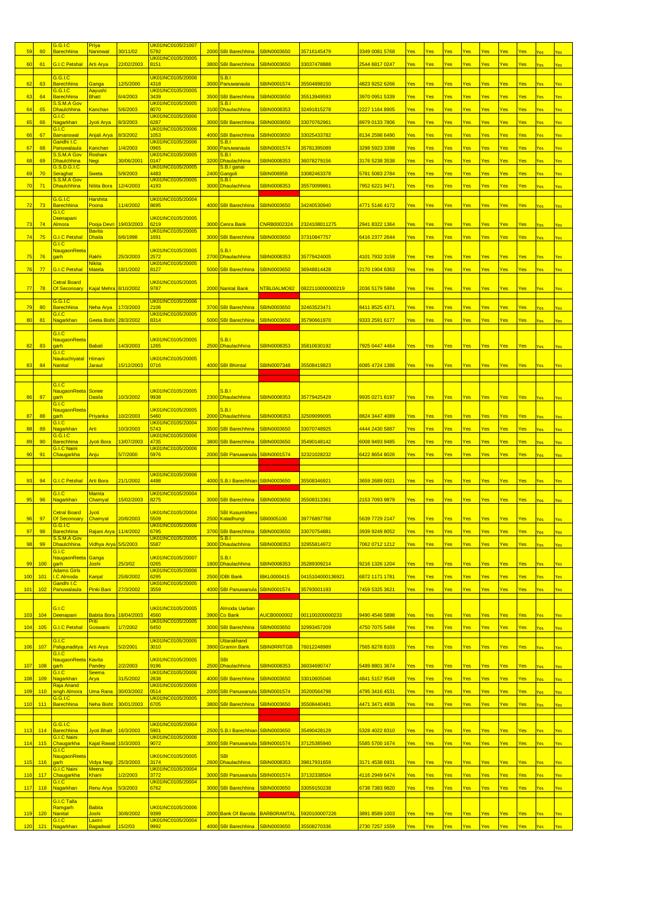| 5 <sup>c</sup> | 60         | 3.G.I.C<br><b>Barechhina</b>                       | Priya<br><u>Naninwal</u>        | 30/11/02             | <u>JK01INC0105/21007</u><br>5792        |      | 2000 SBI Barechhina                           | SBIN0003650                              | 35716145479                  | 3349 0081 5768                   | <u>Yes</u> | Yes        | Yes        | Yes        | Yes        | Yes        | Yes        | Yes        |            |
|----------------|------------|----------------------------------------------------|---------------------------------|----------------------|-----------------------------------------|------|-----------------------------------------------|------------------------------------------|------------------------------|----------------------------------|------------|------------|------------|------------|------------|------------|------------|------------|------------|
| 60             | 61         | <b>G.I.C Petshal</b>                               | <b>Arti Arya</b>                | 22/02/2003           | UK01INC0105/20005<br>8151               |      | 3800 SBI Barechhina                           | <b>SBIN0003650</b>                       | 33037478888                  | <mark>2544 6817 0247</mark>      | Yes        | Yes        | Yes        | Yes        | Yes        | Yes        | Yes        | Yes        | Yes        |
|                |            | G.G.I.C                                            |                                 |                      | UK01INC0105/20006                       |      | <b>S.B.I</b>                                  |                                          |                              |                                  |            |            |            |            |            |            |            |            |            |
| 62             | 63         | <mark>Barechhina</mark><br>G.G.I.C                 | Ganga<br>Aayushi                | 12/5/2000            | 4318<br>UK01INC0105/20005               |      | 3000 Panuwanaula                              | SBIN0001574                              | 35504898150                  | <mark>4823 9252 6266</mark>      | Yes        | Yes        | Yes        | Yes        | Yes        | Yes        | Yes        | Yes        | Yes        |
| 63             | 64         | <mark>Barechhina</mark><br>S.S.M.A Gov             | <b>Bhatt</b>                    | 6/4/2003             | 3439<br>UK01INC0105/20005               | 3500 | <b>SBI Barechhina</b><br><u>S.B.I</u>         | <b>SBIN0003650</b>                       | 35513949593                  | 3970 0951 5339                   | Yes        | Yes        | Yes        | Yes        | Yes        | Yes        | Yes        | Yes        | Yes        |
| 64             | 65         | <b>Dhaulchhina</b><br>3.1.C.                       | Kanchan                         | 5/6/2003             | 8070<br>UK01INC0105/ <mark>20006</mark> |      | 3100 Dhaulachhina                             | SBIN0008353                              | 32491815278                  | 2227 1164 8905                   | Yes        | Yes        | Yes        | Yes        | Yes        | Yes        | Yes        | Yes        | Yes        |
| 65             | 66         | Nagarkhan<br>3.1.C.                                | Jyoti Arya                      | 8/3/2003             | 6287<br><u>JK01INC0105/20006</u>        |      | 3000 SBI Barechhina                           | SBIN0003650                              | 33070762961                  | 3979 0133 7806                   | Yes        | Yes        | Yes        | Yes        | Yes        | Yes        | Yes        | Yes        | Yes        |
| 66             | 67         | <b>Bamanswal</b><br><b>Gandhi I.C</b>              | Anjali Arya                     | 8/3/2002             | 1053<br>UK01INC0105/20006               | 4000 | <b>SBI Barechhina</b><br><u>S.B.I</u>         | SBIN0003650                              | 33025433782                  | <mark>8134 2598 6490</mark>      | Yes        | Yes        | Yes        | Yes        | Yes        | Yes        | Yes        | Yes        | Yes        |
| 67             | 68         | Panuwalaula<br>S.S.M.A Gov                         | <mark>Kanchan</mark><br>Roshani | 1/4/2003             | 0965<br><u>UK01INC0105/20005</u>        | 3000 | Panuwanaula<br><u>S.B.I</u>                   | SBIN0001574                              | 35781395089                  | 3298 5923 3398                   | Yes        | Yes        | Yes        | Yes        | Yes        | Yes        | Yes        | Yes        | Yes        |
| 68             | 69         | <b>Dhaulchhina</b><br>G.S.D.G.I.C                  | Negi                            | 30/06/2001           | 0147<br>UK01INC0105/20005               |      | 3200 Dhaulachhina<br><mark>S.B.I ganai</mark> | SBIN0008353                              | 36078279156                  | 3176 5238 3538                   | Yes        | Yes        | Yes        | Yes        | Yes        | Yes        | Yes        | Yes        | Yes        |
| 69             | 70         | <b>Seraghat</b><br>S.S.M.A Gov                     | Sweta                           | 5/9/2003             | 1483<br>UK01INC0105/20005               | 2400 | Gangoli<br>S.B.I                              | SBIN006958                               | 33082463378                  | 5781 5083 2784                   | Yes        | Yes        | Yes        | Yes        | Yes        | Yes        | Yes        | Yes        | Yes        |
| 70             | 71         | <b>Dhaulchhina</b>                                 | Nitita Bora                     | 12/4/2003            | 4193                                    |      | 3000 Dhaulachhina                             | SBIN0008353                              | 35570099861                  | 7952 6221 9471                   | Yes        | Yes        | Yes        | Yes        | Yes        | Yes        | Yes        | /ps        | Yes        |
| 72             | 73         | G.G.I.C<br>Barechhina                              | <b>Harshita</b><br>Poona        | 11/4/2002            | UK01INC0105/20004<br>8695               |      | 4000 SBI Barechhina                           | SBIN0003650                              | 34240530940                  | 4771 5146 4172                   | Yes        | Yes        | Yes        | Yes        | Yes        | Yes        | Yes        | Yes        | Yes        |
|                |            | G.I.C.<br><b>Deenapani</b>                         |                                 |                      | JK01INC0105/20005                       |      |                                               |                                          |                              |                                  |            |            |            |            |            |            |            |            |            |
| 73             | 74         | <u>Almora</u>                                      | Pooja Devri<br><b>Bavita</b>    | 19/03/2003           | 6219<br>JK01INC0105/20005               |      | 3000 Cenra Bank                               | <b>CNRB0002324</b>                       | 2324108011275                | <mark>2941 8322 1364</mark>      | Yes        | Yes        | Yes        | Yes        | Yes        | Yes        | Yes        | Yes        | Yes        |
| 74             | 75         | <b>G.I.C Petshal</b><br>G.I.C                      | <b>Dhaila</b>                   | 6/6/1998             | 1691                                    |      | 3000 SBI Barechhina                           | <b>SBIN0003650</b>                       | 37310847757                  | 6416 2377 2644                   | Yes        | Yes        | Yes        | Yes        | Yes        | Yes        | Yes        | Yes        | Yes        |
| 75             | 76         | <mark>NaugaonReeta</mark><br>garh                  | Rakhi                           | 25/3/2003            | UK01INC0105/20005<br>2572               |      | <b>S.B.I</b><br>2700 Dhaulachhina             | SBIN0008353                              | 35779424005                  | 4101 7932 3159                   | Yes        | Yes        | Yes        | Yes        | Yes        | Yes        | Yes        | Yes        | Yes        |
| 76             | 77         | <b>G.I.C Petshal</b>                               | <b>Nikita</b><br>Matela         | 18/1/2002            | <u>UK01INC0105/20005</u><br>8127        |      | 5000 SBI Barechhina                           | SBIN0003650                              | 36948814428                  | 2170 1904 6363                   | Yes        | Yes        | Yes        | Yes        | Yes        | Yes        | Yes        | Yes        | Yes        |
|                |            | <b>Cetral Board</b>                                |                                 |                      | JK01INC0105/20005                       |      |                                               |                                          |                              |                                  |            |            |            |            |            |            |            |            |            |
| 77             | 78         | Of Seconoary                                       | Kajal Mehra 8/10/2002           |                      | 9787                                    |      | 2000 Nanital Bank                             | NTBL0ALMO82                              | 0822110000000219             | 2036 5179 5984                   | Yes        | Yes        | Yes        | Yes        | Yes        | Yes        | Yes        | Yes        | Yes        |
| 79             | 80         | 3.G.I.C<br><mark>Barechhina</mark>                 | Neha Arya                       | 17/3/2003            | <u>UK01INC0105/20006</u><br>2106        |      | 3700 SBI Barechhina                           | SBIN0003650                              | 32463523471                  | 8411 8525 4371                   | Yes        | Yes        | Yes        | Yes        | Yes        | Yes        | Yes        | Yes        | Yes        |
| 80             | 81         | 3.I.C<br><b>Nagarkhan</b>                          | Geeta Bisht 28/3/2002           |                      | <u>UK01INC0105/20005</u><br>8314        |      | 5000 SBI Barechhina                           | SBIN0003650                              | 35790661970                  | <mark>9333 2591 6177</mark>      | Yes        | Yes        | Yes        | Yes        | Yes        | Yes        | Yes        | Yes        | Yes        |
|                |            | G.I.C                                              |                                 |                      |                                         |      |                                               |                                          |                              |                                  |            |            |            |            |            |            |            |            |            |
| 82             | 83         | <mark>NaugaonReeta</mark><br>qarh                  | <b>Babali</b>                   | 14/3/2003            | UK01INC0105/20005<br>1265               |      | S.B.I<br>2500 Dhaulachhina                    | SBIN0008353                              | 35810630192                  | 7925 0447 4464                   | Yes        | Yes        | Yes        | Yes        | Yes        | Yes        | Yes        | Yes        | Yes        |
|                |            | G.I.C<br><b>Naukuchiyatal</b>                      | Himani                          |                      | UK01INC0105/20005                       |      |                                               |                                          |                              |                                  |            |            |            |            |            |            |            |            |            |
| 83             | 84         | <b>Nanital</b>                                     | Jaraut                          | 15/12/2003           | 0716                                    |      | 4000 SBI Bhimtal                              | <b>SBIN0007348</b>                       | 35508419823                  | 6085 4724 1386                   | Yes        | Yes        | Yes        | Yes        | Yes        | Yes        | Yes        | Yes        | Yes        |
|                |            | G.I.C                                              |                                 |                      |                                         |      |                                               |                                          |                              |                                  |            |            |            |            |            |            |            |            |            |
| 86             | 87         | NaugaonReeta Sonee<br>garh                         | <b>Dasila</b>                   | 10/3/2002            | UK01INC0105/20005<br>9938               |      | <b>S.B.I</b><br>2300 Dhaulachhina             | SBIN0008353                              | 35779425429                  | 9935 0271 8197                   | Yes        | <u>Yes</u> | Yes        | Yes        | Yes        | Yes        | Yes        | <b>Yes</b> | Yes        |
|                |            | G.I.C<br><mark>NaugaonReeta</mark>                 |                                 |                      | UK01INC0105/20005                       |      | S.B.I                                         |                                          |                              |                                  |            |            |            |            |            |            |            |            |            |
| 87             | 88         | qarh<br>3.I.C                                      | Priyanka                        | 10/2/2003            | 5460<br>JK01INC0105/20004               |      | 2000 Dhaulachhina                             | SBIN0008353                              | 32509099095                  | 8824 3447 4089                   | Yes        | Yes        | Yes        | Yes        | Yes        | <b>Yes</b> | Yes        | Yes        | <b>Yes</b> |
| 88             | 89         | Nagarkhan<br>G.G.I.C                               | Arti                            | 10/3/2003            | 5743<br>JK01INC0105/20006               |      | 3500 SBI Barechhina                           | SBIN0003650                              | 33070748925                  | 4444 2430 5887                   | Yes        | Yes        | Yes        | Yes        | Yes        | Yes        | Yes        | Yes        | Yes        |
| 89             | 90         | <mark>Barechhina</mark><br><b>3.I.C Naini</b>      | Jyoti Bora                      | 13/07/2003           | 1735<br>JK01INC0105/20006               |      | 3800 SBI Barechhina                           | SBIN0003650                              | 35490148142                  | 6008 9493 9485                   | Yes        | Yes        | Yes        | Yes        | Yes        | Yes        | Yes        | Yes        | Yes        |
| 90             | 91         | Chaugarkha                                         | Anju                            | 5/7/2000             | 5976                                    |      | 2000 SBI Panuwanula                           | <b>SBIN0001574</b>                       | 32321028232                  | <mark>6422 8654 8026</mark>      | Yes        | Yes        | Yes        | Yes        | Yes        | Yes        | Yes        | /es        | Yes        |
|                |            |                                                    |                                 |                      |                                         |      |                                               |                                          |                              |                                  |            |            |            |            |            |            |            |            |            |
|                |            |                                                    |                                 |                      | JK01INC0105/20006                       |      |                                               |                                          |                              |                                  |            |            |            |            |            |            |            |            |            |
| 93             | 94         | G.I.C Petshal                                      | Arti Bora                       | 21/1/2002            | 4498                                    |      | 4000 S.B.I Barechhian                         | <b>SBIN0003650</b>                       | 35508346921                  | 3659 2689 0021                   | <u>Yes</u> | Yes        | Yes        | Yes        | Yes        | Yes        | Yes        | Yes        | Yes        |
| 95             | 96         | G.I.C<br><mark>Nagarkhan</mark>                    | <b>Mamta</b><br>Chamyal         | 15/02/2003           | UK01INC0105/20004<br>8275               |      |                                               | SBIN0003650                              | 35508313361                  | 2153 7093 9879                   | Yes        | Yes        | Yes        | Yes        | Yes        | Yes        | Yes        | Yes        | Yes        |
|                |            | <b>Cetral Board</b>                                |                                 |                      | UK01INC0105/20004                       |      | 3000 SBI Barechhina                           |                                          |                              |                                  |            |            |            |            |            |            |            |            |            |
| 96             | 97         | Of Seconoary<br>G.G.I.C                            | Jyoti<br>Chamyal                | 20/8/2003            | 5509<br>UK01INC0105/20006               |      | <b>SBI Kusumkhera</b><br>2500 Kaladhungi      | SBI0005100                               | 39776897768                  | 5639 7729 2147                   | Yes        | Yes        | Yes        | Yes        | Yes        | <b>Yes</b> | Yes        | Yes        |            |
| 97             | 98         | <b>Barechhina</b><br>S.S.M.A Gov                   | Rajani Arya 11/4/2002           |                      | 6795<br>UK01INC0105/20005               |      | 3700 SBI Barechhina<br><b>S.B.I</b>           | SBIN0003650                              | 3307075488                   | 3939 9249 8052                   | Yes        | Yes        | <b>Yes</b> | Yes        | Yes        | Yes        | Yes        | Yes        | Yes        |
| 98             | 99         | Dhaulchhina<br>3.1.C.                              | Vidhya Arya 5/5/2003            |                      | 5587                                    |      | 3000 Dhaulachhina                             | SBIN0008353                              | 32955814972                  | 7062 0712 1212                   | Yes        | Yes        | Yes        | Yes        | Yes        | Yes        | Yes        | Yes        | Yes        |
| 99             | 100        | NaugaonReeta<br>garh                               | Ganga<br>Joshi                  | 25/3/02              | UK01INC0105/20007<br>0265               |      | <b>S.B.I</b><br>1800 Dhaulachhina             | <b>SBIN0008353</b>                       | 35289309214                  | 9216 1326 1204                   | Yes        | Yes        | Yes        | Yes        | Yes        | Yes        | Yes        | Yes        | Yes        |
| 100            | 101        | <b>Adams Girls</b><br>.C Almoda                    | Kanjal                          | 25/8/2002            | UK01INC0105/20006<br>295                |      | 2500 IDBI Bank                                | <b>IBKL0000415</b>                       | 0415104000136921             | 6872 1171 1781                   | Yes        | Yes        | Yes        | Yes        | Yes        | Yes        | Yes        | Yes        | Yes        |
| 101            | 102        | Gandhi I.C<br>Panuwalaula                          | Pinki Bani                      | 27/3/2002            | JK01INC0105/20005<br>3559               |      | 4000 SBI Panuwanula                           | <b>SBIN0001574</b>                       | 35793001193                  | 7459 5325 3621                   | Yes        | Yes        | Yes        | Yes        | Yes        | Yes        | Yes        | Yes        | Yes        |
|                |            |                                                    |                                 |                      |                                         |      |                                               |                                          |                              |                                  |            |            |            |            |            |            |            |            |            |
| 103            | 104        | G.I.C<br>Deenapani                                 | <b>Babita Bora</b>              | 18/04/2003           | UK01INC0105/20005<br>1560               |      | Almoda Uarban<br>3900 Co Bank                 | AUCB0000002                              | 001100200000233              | 9490 4546 5898                   | Yes        | Yes        | Yes        | Yes        | Yes        | Yes        | Yes        | Yes        | Yes        |
| 104            | 105        | <b>G.I.C Petshal</b>                               | <u>Priti</u><br>Goswami         | 1/7/2002             | UK01INC0105/20005<br>6450               |      | 3000 SBI Barechhina                           | <b>SBIN0003650</b>                       | 32993457209                  | 4750 7075 5484                   | Yes        | Yes        | Yes        | Yes        | Yes        | Yes        | Yes        | Yes        | Yes        |
|                |            | G.I.C                                              |                                 |                      | UK01INC0105/20005                       |      | Uttarakhand                                   |                                          |                              |                                  |            |            |            |            |            |            |            |            |            |
| 106            | 107        | Paligunaditya<br>G.I.C                             | <b>Arti Arya</b>                | 5/2/2001             | 3010                                    | 3900 | <b>Gramin Bank</b>                            | <b>SBINORRITGB</b>                       | 76012248989                  | 7565 8278 8103                   | Yes        | Yes        | Yes        | Yes        | Yes        | Yes        | Yes        | Yes        | Yes        |
| 107            | 108        | <mark>NaugaonReeta</mark><br>qarh                  | Kavita<br>Pandey                | 2/2/2003             | UK01INC0105/20005<br>9196               |      | <b>SBI</b><br>2500 Dhaulachhina               | SBIN0008353                              | 36034690747                  | 5489 8801 3674                   | Yes        | Yes        | Yes        | Yes        | Yes        | Yes        | Yes        | Yes        | Yes        |
| 108            | 109        | G.I.C<br>Nagarkhan                                 | <b>Seema</b><br>Arya            | 31/5/2002            | UK01INC0105/20006<br>2838               |      | 4000 SBI Barechhina                           | <b>SBIN0003650</b>                       | 33010605046                  | 4841 5157 9549                   | Yes        | Yes        | Yes        | Yes        | Yes        | Yes        | Yes        | Yes        | Yes        |
| 109            | 110        | Raja Anand<br>singh Almora                         | <b>Uma Rana</b>                 | 30/03/2002           | UK01INC0105/20006<br>0514               |      | 2000 SBI Panuwanula                           | <b>SBIN0001574</b>                       | 35200564798                  | 4795 3416 4531                   | Yes        | Yes        | Yes        | Yes        | Yes        | Yes        | Yes        | Yes        | Yes        |
| 110            | 111        | G.G.I.C<br>Barechhina                              | <b>Neha Bisht</b>               | 30/01/2003           | UK01INC0105/20005<br>6705               |      | 3800 SBI Barechhina                           | <b>SBIN0003650</b>                       | 35508440481                  | 4471 3471 4936                   | Yes        | Yes        | Yes        | Yes        | Yes        | Yes        | Yes        | Yes        | Yes        |
|                |            |                                                    |                                 |                      |                                         |      |                                               |                                          |                              |                                  |            |            |            |            |            |            |            |            |            |
| 113            | 114        | G.G.I.C<br>Barechhina                              | <b>Jyoti Bhatt</b>              | 16/3/2003            | UK01INC0105/20004<br>5901               |      | 2500 S.B.I Barechhian                         | SBIN0003650                              | 35490428129                  | 5328 4022 8310                   | Yes        | Yes        | Yes        | Yes        | Yes        | Yes        | Yes        | Yes        | Yes        |
| 114            | 115        | G.I.C Naini<br>Chaugarkha                          | Kajal Rawat 15/3/2003           |                      | UK01INC0105/20006<br>9072               |      | 3000 SBI Panuwanula                           | SBIN0001574                              | 37125385940                  | 5585 5700 1674                   | Yes        | <u>Yes</u> | Yes        | Yes        | Yes        | Yes        | Yes        | Yes        | Yes        |
|                |            | G.I.C<br>NaugaonReeta                              |                                 |                      | UK01INC0105/20005                       |      | SBI                                           |                                          |                              |                                  |            |            |            |            |            |            |            |            |            |
| 115            | 116        | garh<br><b>G.I.C Naini</b>                         | Vidya Negi<br>Meena             | 25/3/2003            | 3174<br><mark>UK01INC0105/20004</mark>  |      | 2600 Dhaulachhina                             | SBIN0008353                              | 39817931659                  | 3171 4538 6931                   | Yes        | Yes        | Yes        | Yes        | Yes        | Yes        | Yes        | Yes        | Yes        |
| 116            | 117        | <mark>Chaugarkha</mark><br>3.I.C                   | Khani                           | 1/2/2003             | 3772<br>JK01INC0105/20004               |      | 3000 SBI Panuwanula                           | <b>SBIN0001574</b>                       | 37132338504                  | 4116 2949 6474                   | Yes        | Yes        | Yes        | Yes        | Yes        | Yes        | Yes        | Yes        | Yes        |
| 117            | 118        | <mark>Nagarkhan</mark>                             | <b>Renu Arya</b>                | 5/3/2003             | 6762                                    |      | 3000 SBI Barechhina                           | <b>SBIN0003650</b>                       | 33059150238                  | 6738 7383 9820                   | Yes        | Yes        | Yes        | Yes        | Yes        | Yes        | Yes        | Yes        | Yes        |
|                |            | G.I.C Talla<br><b>Ramgarh</b>                      | <b>Babita</b>                   |                      | JK01INC0105/20006                       |      |                                               |                                          |                              |                                  |            |            |            |            |            |            |            |            |            |
| 119<br>120     | 120<br>121 | <b>Nanital</b><br>G.I.C.<br><mark>Nagarkhan</mark> | Joshi<br>Laxmi<br>Bagadwal      | 30/8/2002<br>15/2/03 | 9399<br>UK01INC0105/20004<br>3992       |      | 2000 Bank Of Baroda<br>4000 SBI Barechhina    | <b>BARBORAMTAL</b><br><b>SBIN0003650</b> | 5920100007226<br>35508270336 | 3891 8589 1003<br>2730 7257 1559 | Yes<br>Yes | Yes<br>Yes | Yes<br>Yes | Yes<br>Yes | Yes<br>Yes | Yes<br>Yes | Yes<br>Yes | Yes<br>Yes | Yes<br>Yes |